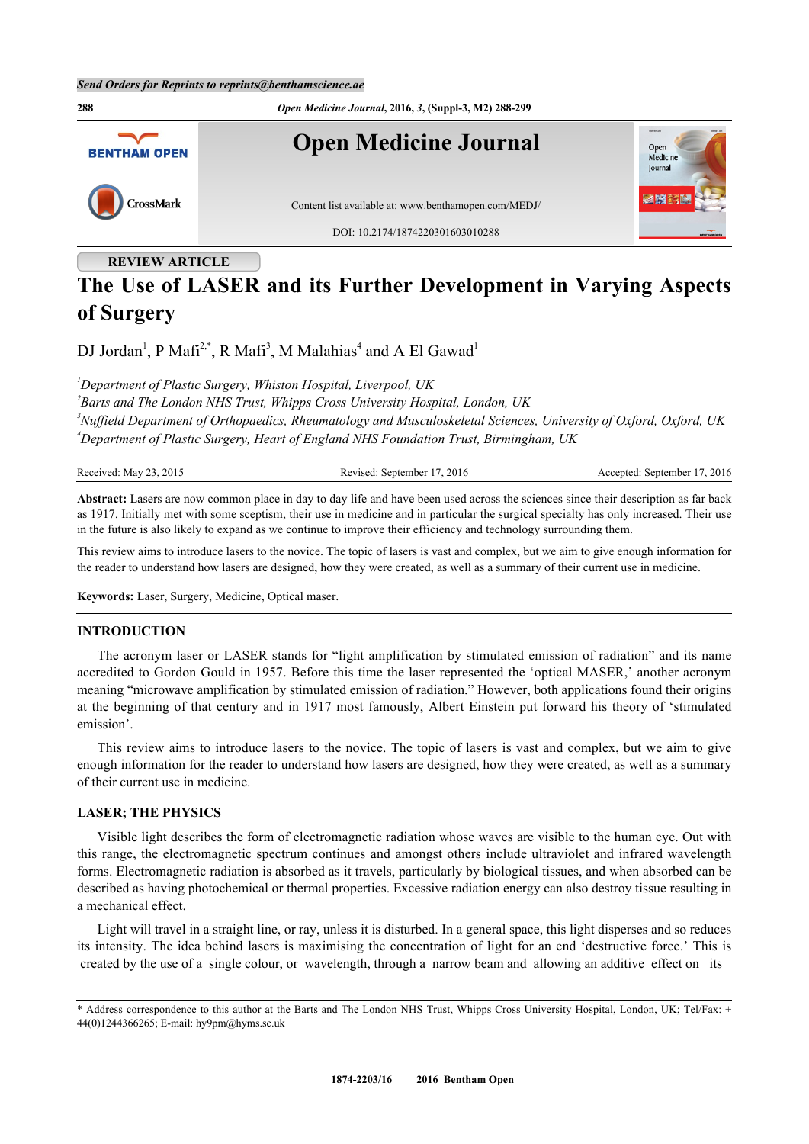

# **REVIEW ARTICLE**

# **The Use of LASER and its Further Development in Varying Aspects of Surgery**

DJ Jordan<sup>[1](#page-0-0)</sup>, P Mafi<sup>[2,](#page-0-1)[\\*](#page-0-2)</sup>, R Mafi<sup>[3](#page-0-3)</sup>, M Malahias<sup>[4](#page-0-4)</sup> and A El Gawad<sup>1</sup>

<span id="page-0-0"></span>*<sup>1</sup>Department of Plastic Surgery, Whiston Hospital, Liverpool, UK*

<span id="page-0-4"></span><span id="page-0-3"></span><span id="page-0-1"></span>*2 Barts and The London NHS Trust, Whipps Cross University Hospital, London, UK <sup>3</sup>Nuffield Department of Orthopaedics, Rheumatology and Musculoskeletal Sciences, University of Oxford, Oxford, UK <sup>4</sup>Department of Plastic Surgery, Heart of England NHS Foundation Trust, Birmingham, UK*

| Received<br>201.<br>Mav<br>$\ddotsc$ | ≐ 201∈<br>September<br>$\Delta$<br>20111<br>`` | 2016<br>September<br>.ccepted: |
|--------------------------------------|------------------------------------------------|--------------------------------|
|--------------------------------------|------------------------------------------------|--------------------------------|

**Abstract:** Lasers are now common place in day to day life and have been used across the sciences since their description as far back as 1917. Initially met with some sceptism, their use in medicine and in particular the surgical specialty has only increased. Their use in the future is also likely to expand as we continue to improve their efficiency and technology surrounding them.

This review aims to introduce lasers to the novice. The topic of lasers is vast and complex, but we aim to give enough information for the reader to understand how lasers are designed, how they were created, as well as a summary of their current use in medicine.

**Keywords:** Laser, Surgery, Medicine, Optical maser.

## **INTRODUCTION**

The acronym laser or LASER stands for "light amplification by stimulated emission of radiation" and its name accredited to Gordon Gould in 1957. Before this time the laser represented the 'optical MASER,' another acronym meaning "microwave amplification by stimulated emission of radiation." However, both applications found their origins at the beginning of that century and in 1917 most famously, Albert Einstein put forward his theory of 'stimulated emission'.

This review aims to introduce lasers to the novice. The topic of lasers is vast and complex, but we aim to give enough information for the reader to understand how lasers are designed, how they were created, as well as a summary of their current use in medicine.

## **LASER; THE PHYSICS**

Visible light describes the form of electromagnetic radiation whose waves are visible to the human eye. Out with this range, the electromagnetic spectrum continues and amongst others include ultraviolet and infrared wavelength forms. Electromagnetic radiation is absorbed as it travels, particularly by biological tissues, and when absorbed can be described as having photochemical or thermal properties. Excessive radiation energy can also destroy tissue resulting in a mechanical effect.

Light will travel in a straight line, or ray, unless it is disturbed. In a general space, this light disperses and so reduces its intensity. The idea behind lasers is maximising the concentration of light for an end 'destructive force.' This is created by the use of a single colour, or wavelength, through a narrow beam and allowing an additive effect on its

<span id="page-0-2"></span><sup>\*</sup> Address correspondence to this author at the Barts and The London NHS Trust, Whipps Cross University Hospital, London, UK; Tel/Fax: + 44(0)1244366265; E-mail: [hy9pm@hyms.sc.uk](mailto:hy9pm@hyms.sc.uk)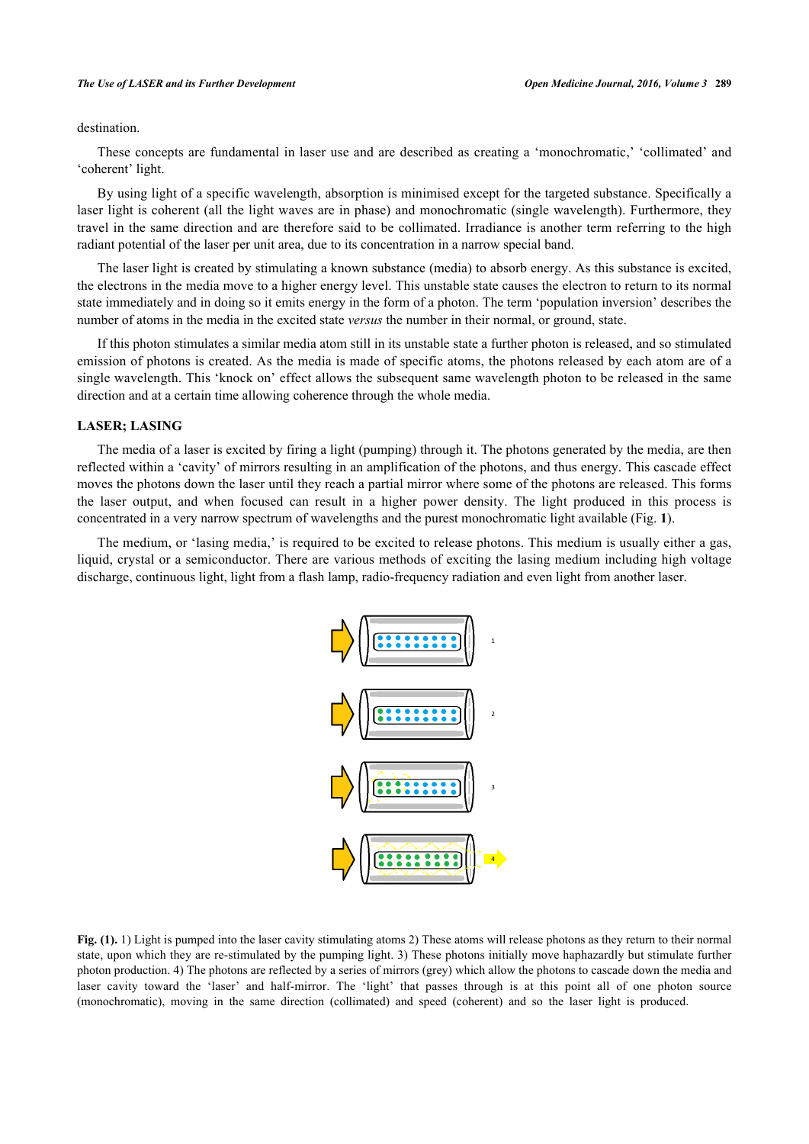#### *The Use of LASER and its Further Development Open Medicine Journal, 2016, Volume 3* **289**

### destination.

These concepts are fundamental in laser use and are described as creating a 'monochromatic,' 'collimated' and 'coherent' light.

By using light of a specific wavelength, absorption is minimised except for the targeted substance. Specifically a laser light is coherent (all the light waves are in phase) and monochromatic (single wavelength). Furthermore, they travel in the same direction and are therefore said to be collimated. Irradiance is another term referring to the high radiant potential of the laser per unit area, due to its concentration in a narrow special band.

The laser light is created by stimulating a known substance (media) to absorb energy. As this substance is excited, the electrons in the media move to a higher energy level. This unstable state causes the electron to return to its normal state immediately and in doing so it emits energy in the form of a photon. The term 'population inversion' describes the number of atoms in the media in the excited state *versus* the number in their normal, or ground, state.

If this photon stimulates a similar media atom still in its unstable state a further photon is released, and so stimulated emission of photons is created. As the media is made of specific atoms, the photons released by each atom are of a single wavelength. This 'knock on' effect allows the subsequent same wavelength photon to be released in the same direction and at a certain time allowing coherence through the whole media.

#### **LASER; LASING**

The media of a laser is excited by firing a light (pumping) through it. The photons generated by the media, are then reflected within a 'cavity' of mirrors resulting in an amplification of the photons, and thus energy. This cascade effect moves the photons down the laser until they reach a partial mirror where some of the photons are released. This forms the laser output, and when focused can result in a higher power density. The light produced in this process is concentrated in a very narrow spectrum of wavelengths and the purest monochromatic light available (Fig. **[1](#page-1-0)**).

<span id="page-1-0"></span>The medium, or 'lasing media,' is required to be excited to release photons. This medium is usually either a gas, liquid, crystal or a semiconductor. There are various methods of exciting the lasing medium including high voltage discharge, continuous light, light from a flash lamp, radio-frequency radiation and even light from another laser.



**Fig. (1).** 1) Light is pumped into the laser cavity stimulating atoms 2) These atoms will release photons as they return to their normal state, upon which they are re-stimulated by the pumping light. 3) These photons initially move haphazardly but stimulate further photon production. 4) The photons are reflected by a series of mirrors (grey) which allow the photons to cascade down the media and laser cavity toward the 'laser' and half-mirror. The 'light' that passes through is at this point all of one photon source (monochromatic), moving in the same direction (collimated) and speed (coherent) and so the laser light is produced.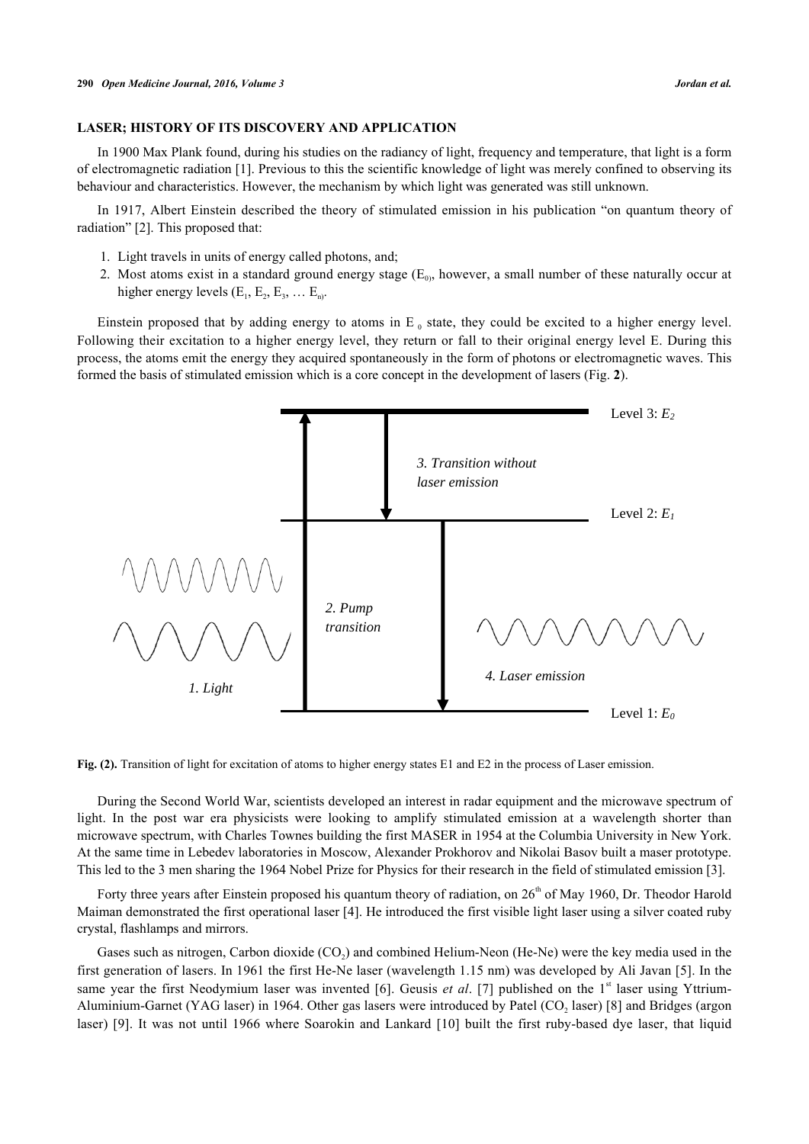## **LASER; HISTORY OF ITS DISCOVERY AND APPLICATION**

In 1900 Max Plank found, during his studies on the radiancy of light, frequency and temperature, that light is a form of electromagnetic radiation [[1\]](#page-7-0). Previous to this the scientific knowledge of light was merely confined to observing its behaviour and characteristics. However, the mechanism by which light was generated was still unknown.

In 1917, Albert Einstein described the theory of stimulated emission in his publication "on quantum theory of radiation" [[2\]](#page-7-1). This proposed that:

- 1. Light travels in units of energy called photons, and;
- 2. Most atoms exist in a standard ground energy stage  $(E_0)$ , however, a small number of these naturally occur at higher energy levels  $(E_1, E_2, E_3, \dots E_n)$ .

Einstein proposed that by adding energy to atoms in  $E_0$  state, they could be excited to a higher energy level. Following their excitation to a higher energy level, they return or fall to their original energy level E. During this process, the atoms emit the energy they acquired spontaneously in the form of photons or electromagnetic waves. This formed the basis of stimulated emission which is a core concept in the development of lasers (Fig. **[2](#page-2-0)**).

<span id="page-2-0"></span>

**Fig. (2).** Transition of light for excitation of atoms to higher energy states E1 and E2 in the process of Laser emission.

During the Second World War, scientists developed an interest in radar equipment and the microwave spectrum of light. In the post war era physicists were looking to amplify stimulated emission at a wavelength shorter than microwave spectrum, with Charles Townes building the first MASER in 1954 at the Columbia University in New York. At the same time in Lebedev laboratories in Moscow, Alexander Prokhorov and Nikolai Basov built a maser prototype. This led to the 3 men sharing the 1964 Nobel Prize for Physics for their research in the field of stimulated emission [\[3](#page-7-2)].

Forty three years after Einstein proposed his quantum theory of radiation, on  $26<sup>th</sup>$  of May 1960, Dr. Theodor Harold Maiman demonstrated the first operational laser [[4\]](#page-7-3). He introduced the first visible light laser using a silver coated ruby crystal, flashlamps and mirrors.

Gases such as nitrogen, Carbon dioxide (CO<sub>2</sub>) and combined Helium-Neon (He-Ne) were the key media used in the first generation of lasers. In 1961 the first He-Ne laser (wavelength 1.15 nm) was developed by Ali Javan [[5\]](#page-7-4). In the same year the first Neodymium laser was invented [\[6](#page-7-5)]. Geusis *et al.* [[7\]](#page-7-6) published on the 1<sup>st</sup> laser using Yttrium-Aluminium-Garnet (YAG laser) in 1964. Other gas lasers were introduced by Patel ( $CO<sub>2</sub>$  laser) [[8\]](#page-7-7) and Bridges (argon laser) [[9\]](#page-7-8). It was not until 1966 where Soarokin and Lankard [[10](#page-7-9)] built the first ruby-based dye laser, that liquid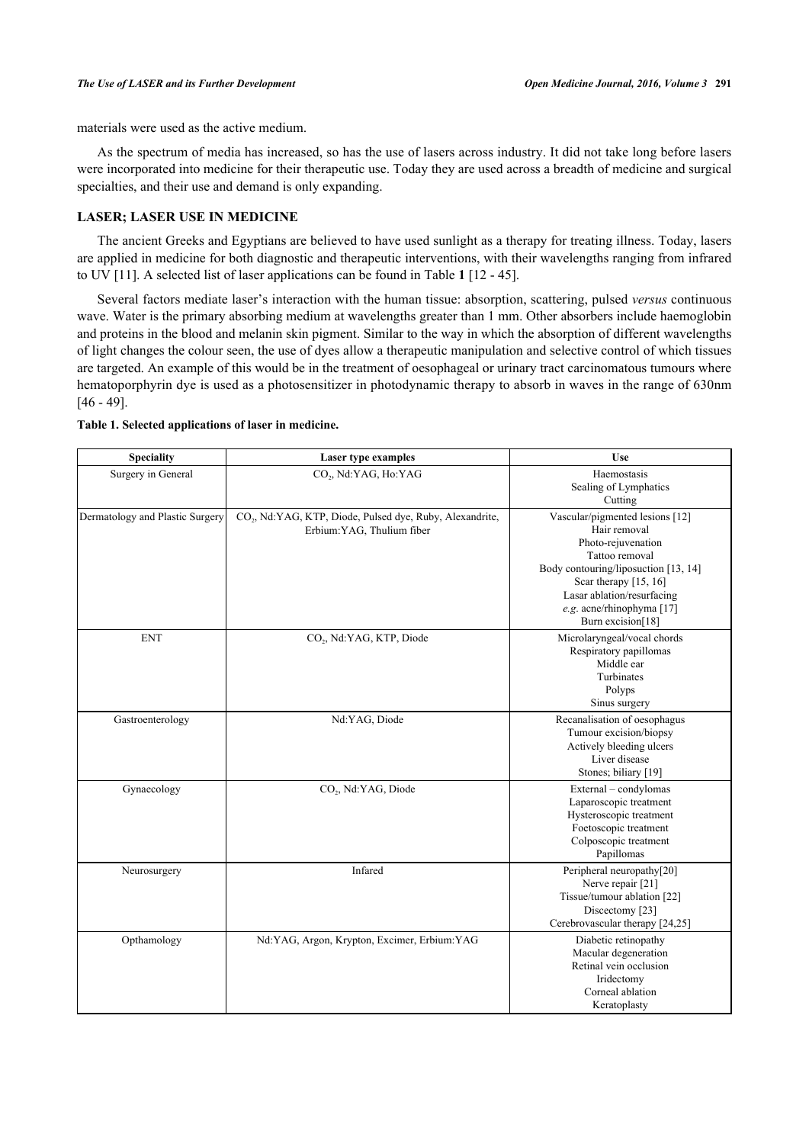materials were used as the active medium.

As the spectrum of media has increased, so has the use of lasers across industry. It did not take long before lasers were incorporated into medicine for their therapeutic use. Today they are used across a breadth of medicine and surgical specialties, and their use and demand is only expanding.

## **LASER; LASER USE IN MEDICINE**

The ancient Greeks and Egyptians are believed to have used sunlight as a therapy for treating illness. Today, lasers are applied in medicine for both diagnostic and therapeutic interventions, with their wavelengths ranging from infrared to UV [\[11](#page-7-10)]. A selected list of laser applications can be found in Table **[1](#page-3-0)** [\[12](#page-7-11) - [45\]](#page-9-0).

Several factors mediate laser's interaction with the human tissue: absorption, scattering, pulsed *versus* continuous wave. Water is the primary absorbing medium at wavelengths greater than 1 mm. Other absorbers include haemoglobin and proteins in the blood and melanin skin pigment. Similar to the way in which the absorption of different wavelengths of light changes the colour seen, the use of dyes allow a therapeutic manipulation and selective control of which tissues are targeted. An example of this would be in the treatment of oesophageal or urinary tract carcinomatous tumours where hematoporphyrin dye is used as a photosensitizer in photodynamic therapy to absorb in waves in the range of 630nm [\[46](#page-9-1) - [49](#page-9-2)].

| <b>Speciality</b>               | Laser type examples                                                                                | <b>Use</b>                                                                                                                                                                                                                                 |
|---------------------------------|----------------------------------------------------------------------------------------------------|--------------------------------------------------------------------------------------------------------------------------------------------------------------------------------------------------------------------------------------------|
| Surgery in General              | CO <sub>2</sub> , Nd:YAG, Ho:YAG                                                                   | Haemostasis<br>Sealing of Lymphatics<br>Cutting                                                                                                                                                                                            |
| Dermatology and Plastic Surgery | CO <sub>2</sub> , Nd:YAG, KTP, Diode, Pulsed dye, Ruby, Alexandrite,<br>Erbium: YAG, Thulium fiber | Vascular/pigmented lesions [12]<br>Hair removal<br>Photo-rejuvenation<br>Tattoo removal<br>Body contouring/liposuction [13, 14]<br>Scar therapy $[15, 16]$<br>Lasar ablation/resurfacing<br>e.g. acne/rhinophyma [17]<br>Burn excision[18] |
| <b>ENT</b>                      | CO <sub>2</sub> , Nd:YAG, KTP, Diode                                                               | Microlaryngeal/vocal chords<br>Respiratory papillomas<br>Middle ear<br>Turbinates<br>Polyps<br>Sinus surgery                                                                                                                               |
| Gastroenterology                | Nd:YAG, Diode                                                                                      | Recanalisation of oesophagus<br>Tumour excision/biopsy<br>Actively bleeding ulcers<br>Liver disease<br>Stones; biliary [19]                                                                                                                |
| Gynaecology                     | CO <sub>2</sub> , Nd:YAG, Diode                                                                    | External - condylomas<br>Laparoscopic treatment<br>Hysteroscopic treatment<br>Foetoscopic treatment<br>Colposcopic treatment<br>Papillomas                                                                                                 |
| Neurosurgery                    | Infared                                                                                            | Peripheral neuropathy[20]<br>Nerve repair [21]<br>Tissue/tumour ablation [22]<br>Discectomy [23]<br>Cerebrovascular therapy [24,25]                                                                                                        |
| Opthamology                     | Nd:YAG, Argon, Krypton, Excimer, Erbium:YAG                                                        | Diabetic retinopathy<br>Macular degeneration<br>Retinal vein occlusion<br>Iridectomy<br>Corneal ablation<br>Keratoplasty                                                                                                                   |

### <span id="page-3-0"></span>**Table 1. Selected applications of laser in medicine.**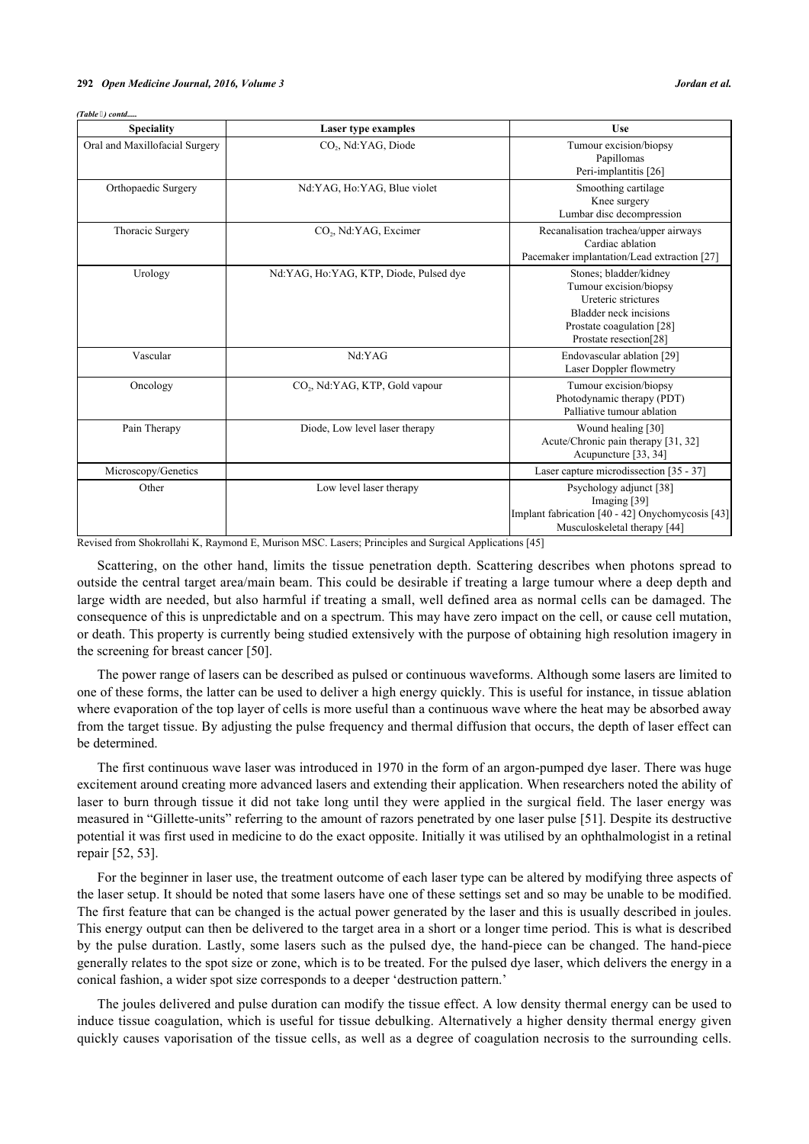| <b>Speciality</b>              | Laser type examples                        | <b>Use</b>                                                                                                                                                      |
|--------------------------------|--------------------------------------------|-----------------------------------------------------------------------------------------------------------------------------------------------------------------|
| Oral and Maxillofacial Surgery | CO <sub>2</sub> , Nd:YAG, Diode            | Tumour excision/biopsy<br>Papillomas<br>Peri-implantitis [26]                                                                                                   |
| Orthopaedic Surgery            | Nd:YAG, Ho:YAG, Blue violet                | Smoothing cartilage<br>Knee surgery<br>Lumbar disc decompression                                                                                                |
| Thoracic Surgery               | CO <sub>2</sub> , Nd:YAG, Excimer          | Recanalisation trachea/upper airways<br>Cardiac ablation<br>Pacemaker implantation/Lead extraction [27]                                                         |
| Urology                        | Nd:YAG, Ho:YAG, KTP, Diode, Pulsed dye     | Stones; bladder/kidney<br>Tumour excision/biopsy<br>Ureteric strictures<br><b>Bladder neck incisions</b><br>Prostate coagulation [28]<br>Prostate resection[28] |
| Vascular                       | Nd:YAG                                     | Endovascular ablation [29]<br>Laser Doppler flowmetry                                                                                                           |
| Oncology                       | CO <sub>2</sub> , Nd:YAG, KTP, Gold vapour | Tumour excision/biopsy<br>Photodynamic therapy (PDT)<br>Palliative tumour ablation                                                                              |
| Pain Therapy                   | Diode, Low level laser therapy             | Wound healing [30]<br>Acute/Chronic pain therapy [31, 32]<br>Acupuncture [33, 34]                                                                               |
| Microscopy/Genetics            |                                            | Laser capture microdissection [35 - 37]                                                                                                                         |
| Other                          | Low level laser therapy                    | Psychology adjunct [38]<br>Imaging [39]<br>Implant fabrication [40 - 42] Onychomycosis [43]<br>Musculoskeletal therapy [44]                                     |

*(Table ) contd.....*

Revised from Shokrollahi K, Raymond E, Murison MSC. Lasers; Principles and Surgical Applications [\[45](#page-9-0)]

Scattering, on the other hand, limits the tissue penetration depth. Scattering describes when photons spread to outside the central target area/main beam. This could be desirable if treating a large tumour where a deep depth and large width are needed, but also harmful if treating a small, well defined area as normal cells can be damaged. The consequence of this is unpredictable and on a spectrum. This may have zero impact on the cell, or cause cell mutation, or death. This property is currently being studied extensively with the purpose of obtaining high resolution imagery in the screening for breast cancer [[50\]](#page-9-5).

The power range of lasers can be described as pulsed or continuous waveforms. Although some lasers are limited to one of these forms, the latter can be used to deliver a high energy quickly. This is useful for instance, in tissue ablation where evaporation of the top layer of cells is more useful than a continuous wave where the heat may be absorbed away from the target tissue. By adjusting the pulse frequency and thermal diffusion that occurs, the depth of laser effect can be determined.

The first continuous wave laser was introduced in 1970 in the form of an argon-pumped dye laser. There was huge excitement around creating more advanced lasers and extending their application. When researchers noted the ability of laser to burn through tissue it did not take long until they were applied in the surgical field. The laser energy was measured in "Gillette-units" referring to the amount of razors penetrated by one laser pulse [\[51](#page-9-6)]. Despite its destructive potential it was first used in medicine to do the exact opposite. Initially it was utilised by an ophthalmologist in a retinal repair [[52,](#page-9-7) [53\]](#page-9-8).

For the beginner in laser use, the treatment outcome of each laser type can be altered by modifying three aspects of the laser setup. It should be noted that some lasers have one of these settings set and so may be unable to be modified. The first feature that can be changed is the actual power generated by the laser and this is usually described in joules. This energy output can then be delivered to the target area in a short or a longer time period. This is what is described by the pulse duration. Lastly, some lasers such as the pulsed dye, the hand-piece can be changed. The hand-piece generally relates to the spot size or zone, which is to be treated. For the pulsed dye laser, which delivers the energy in a conical fashion, a wider spot size corresponds to a deeper 'destruction pattern.'

The joules delivered and pulse duration can modify the tissue effect. A low density thermal energy can be used to induce tissue coagulation, which is useful for tissue debulking. Alternatively a higher density thermal energy given quickly causes vaporisation of the tissue cells, as well as a degree of coagulation necrosis to the surrounding cells.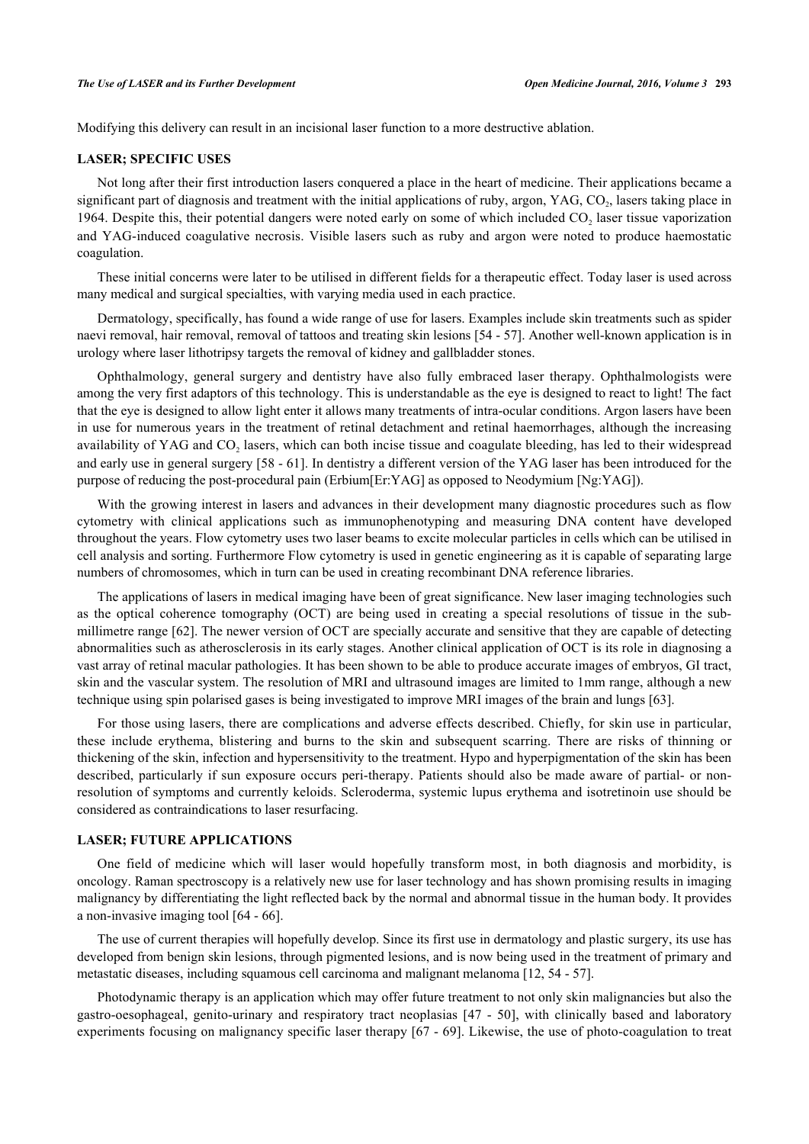Modifying this delivery can result in an incisional laser function to a more destructive ablation.

#### **LASER; SPECIFIC USES**

Not long after their first introduction lasers conquered a place in the heart of medicine. Their applications became a significant part of diagnosis and treatment with the initial applications of ruby, argon, YAG,  $CO_2$ , lasers taking place in 1964. Despite this, their potential dangers were noted early on some of which included  $CO<sub>2</sub>$  laser tissue vaporization and YAG-induced coagulative necrosis. Visible lasers such as ruby and argon were noted to produce haemostatic coagulation.

These initial concerns were later to be utilised in different fields for a therapeutic effect. Today laser is used across many medical and surgical specialties, with varying media used in each practice.

Dermatology, specifically, has found a wide range of use for lasers. Examples include skin treatments such as spider naevi removal, hair removal, removal of tattoos and treating skin lesions [\[54](#page-9-9) - [57\]](#page-9-10). Another well-known application is in urology where laser lithotripsy targets the removal of kidney and gallbladder stones.

Ophthalmology, general surgery and dentistry have also fully embraced laser therapy. Ophthalmologists were among the very first adaptors of this technology. This is understandable as the eye is designed to react to light! The fact that the eye is designed to allow light enter it allows many treatments of intra-ocular conditions. Argon lasers have been in use for numerous years in the treatment of retinal detachment and retinal haemorrhages, although the increasing availability of YAG and  $CO_2$  lasers, which can both incise tissue and coagulate bleeding, has led to their widespread and early use in general surgery [\[58](#page-9-11) - [61](#page-9-12)]. In dentistry a different version of the YAG laser has been introduced for the purpose of reducing the post-procedural pain (Erbium[Er:YAG] as opposed to Neodymium [Ng:YAG]).

With the growing interest in lasers and advances in their development many diagnostic procedures such as flow cytometry with clinical applications such as immunophenotyping and measuring DNA content have developed throughout the years. Flow cytometry uses two laser beams to excite molecular particles in cells which can be utilised in cell analysis and sorting. Furthermore Flow cytometry is used in genetic engineering as it is capable of separating large numbers of chromosomes, which in turn can be used in creating recombinant DNA reference libraries.

The applications of lasers in medical imaging have been of great significance. New laser imaging technologies such as the optical coherence tomography (OCT) are being used in creating a special resolutions of tissue in the submillimetre range [[62\]](#page-9-13). The newer version of OCT are specially accurate and sensitive that they are capable of detecting abnormalities such as atherosclerosis in its early stages. Another clinical application of OCT is its role in diagnosing a vast array of retinal macular pathologies. It has been shown to be able to produce accurate images of embryos, GI tract, skin and the vascular system. The resolution of MRI and ultrasound images are limited to 1mm range, although a new technique using spin polarised gases is being investigated to improve MRI images of the brain and lungs [[63\]](#page-9-14).

For those using lasers, there are complications and adverse effects described. Chiefly, for skin use in particular, these include erythema, blistering and burns to the skin and subsequent scarring. There are risks of thinning or thickening of the skin, infection and hypersensitivity to the treatment. Hypo and hyperpigmentation of the skin has been described, particularly if sun exposure occurs peri-therapy. Patients should also be made aware of partial- or nonresolution of symptoms and currently keloids. Scleroderma, systemic lupus erythema and isotretinoin use should be considered as contraindications to laser resurfacing.

## **LASER; FUTURE APPLICATIONS**

One field of medicine which will laser would hopefully transform most, in both diagnosis and morbidity, is oncology. Raman spectroscopy is a relatively new use for laser technology and has shown promising results in imaging malignancy by differentiating the light reflected back by the normal and abnormal tissue in the human body. It provides a non-invasive imaging tool [\[64](#page-9-15) - [66\]](#page-9-16).

The use of current therapies will hopefully develop. Since its first use in dermatology and plastic surgery, its use has developed from benign skin lesions, through pigmented lesions, and is now being used in the treatment of primary and metastatic diseases, including squamous cell carcinoma and malignant melanoma [\[12](#page-7-11), [54](#page-9-9) - [57\]](#page-9-10).

Photodynamic therapy is an application which may offer future treatment to not only skin malignancies but also the gastro-oesophageal, genito-urinary and respiratory tract neoplasias [\[47](#page-9-17) - [50](#page-9-5)], with clinically based and laboratory experiments focusing on malignancy specific laser therapy [\[67](#page-9-18) - [69](#page-10-0)]. Likewise, the use of photo-coagulation to treat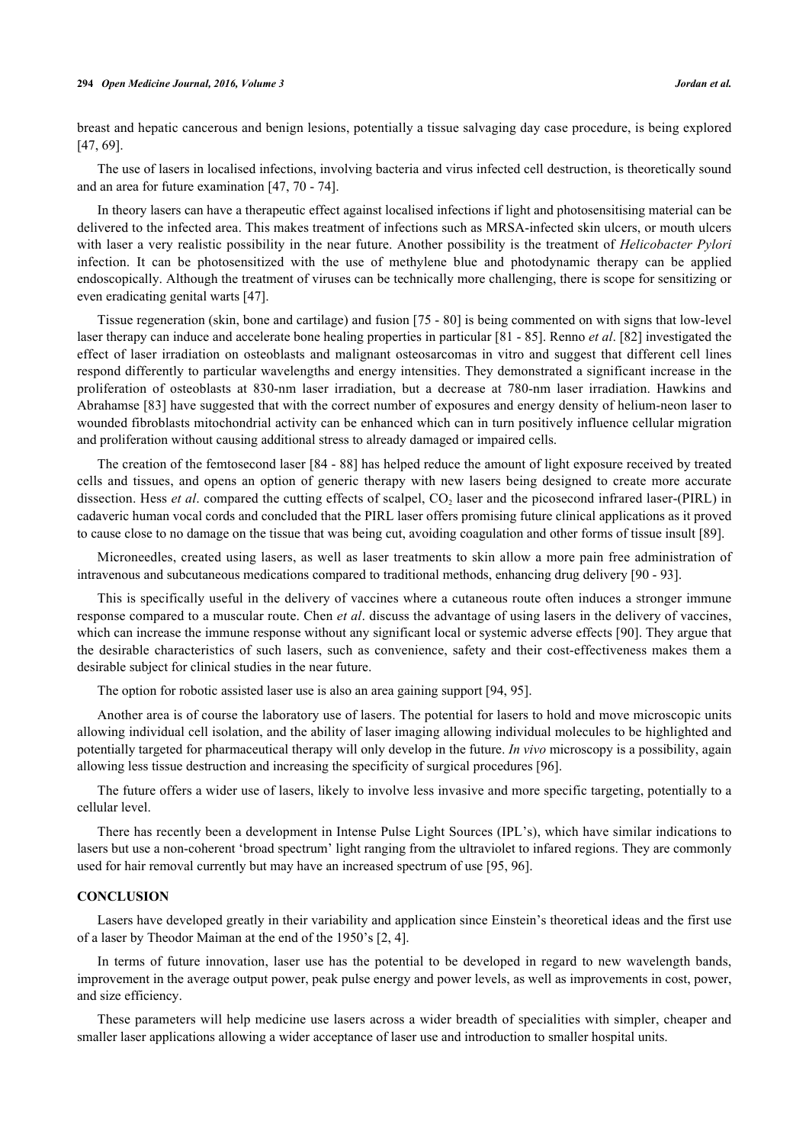#### **294** *Open Medicine Journal, 2016, Volume 3 Jordan et al.*

breast and hepatic cancerous and benign lesions, potentially a tissue salvaging day case procedure, is being explored [\[47](#page-9-17), [69](#page-10-0)].

The use of lasers in localised infections, involving bacteria and virus infected cell destruction, is theoretically sound and an area for future examination [[47,](#page-9-17) [70](#page-10-1) - [74\]](#page-10-2).

In theory lasers can have a therapeutic effect against localised infections if light and photosensitising material can be delivered to the infected area. This makes treatment of infections such as MRSA-infected skin ulcers, or mouth ulcers with laser a very realistic possibility in the near future. Another possibility is the treatment of *Helicobacter Pylori* infection. It can be photosensitized with the use of methylene blue and photodynamic therapy can be applied endoscopically. Although the treatment of viruses can be technically more challenging, there is scope for sensitizing or even eradicating genital warts [\[47](#page-9-17)].

Tissue regeneration (skin, bone and cartilage) and fusion [\[75](#page-10-3) - [80](#page-10-4)] is being commented on with signs that low-level laser therapy can induce and accelerate bone healing properties in particular [[81](#page-10-5) - [85](#page-10-6)]. Renno *et al*. [\[82](#page-10-7)] investigated the effect of laser irradiation on osteoblasts and malignant osteosarcomas in vitro and suggest that different cell lines respond differently to particular wavelengths and energy intensities. They demonstrated a significant increase in the proliferation of osteoblasts at 830-nm laser irradiation, but a decrease at 780-nm laser irradiation. Hawkins and Abrahamse [[83](#page-10-8)] have suggested that with the correct number of exposures and energy density of helium-neon laser to wounded fibroblasts mitochondrial activity can be enhanced which can in turn positively influence cellular migration and proliferation without causing additional stress to already damaged or impaired cells.

The creation of the femtosecond laser [\[84](#page-10-9) - [88](#page-10-10)] has helped reduce the amount of light exposure received by treated cells and tissues, and opens an option of generic therapy with new lasers being designed to create more accurate dissection. Hess *et al.* compared the cutting effects of scalpel, CO<sub>2</sub> laser and the picosecond infrared laser-(PIRL) in cadaveric human vocal cords and concluded that the PIRL laser offers promising future clinical applications as it proved to cause close to no damage on the tissue that was being cut, avoiding coagulation and other forms of tissue insult [[89\]](#page-10-11).

Microneedles, created using lasers, as well as laser treatments to skin allow a more pain free administration of intravenous and subcutaneous medications compared to traditional methods, enhancing drug delivery [[90](#page-11-0) - [93](#page-11-1)].

This is specifically useful in the delivery of vaccines where a cutaneous route often induces a stronger immune response compared to a muscular route. Chen *et al*. discuss the advantage of using lasers in the delivery of vaccines, which can increase the immune response without any significant local or systemic adverse effects [[90\]](#page-11-0). They argue that the desirable characteristics of such lasers, such as convenience, safety and their cost-effectiveness makes them a desirable subject for clinical studies in the near future.

The option for robotic assisted laser use is also an area gaining support [[94,](#page-11-2) [95\]](#page-11-3).

Another area is of course the laboratory use of lasers. The potential for lasers to hold and move microscopic units allowing individual cell isolation, and the ability of laser imaging allowing individual molecules to be highlighted and potentially targeted for pharmaceutical therapy will only develop in the future. *In vivo* microscopy is a possibility, again allowing less tissue destruction and increasing the specificity of surgical procedures [\[96](#page-11-4)].

The future offers a wider use of lasers, likely to involve less invasive and more specific targeting, potentially to a cellular level.

There has recently been a development in Intense Pulse Light Sources (IPL's), which have similar indications to lasers but use a non-coherent 'broad spectrum' light ranging from the ultraviolet to infared regions. They are commonly used for hair removal currently but may have an increased spectrum of use [\[95](#page-11-3), [96](#page-11-4)].

#### **CONCLUSION**

Lasers have developed greatly in their variability and application since Einstein's theoretical ideas and the first use of a laser by Theodor Maiman at the end of the 1950's [[2,](#page-7-1) [4\]](#page-7-3).

In terms of future innovation, laser use has the potential to be developed in regard to new wavelength bands, improvement in the average output power, peak pulse energy and power levels, as well as improvements in cost, power, and size efficiency.

These parameters will help medicine use lasers across a wider breadth of specialities with simpler, cheaper and smaller laser applications allowing a wider acceptance of laser use and introduction to smaller hospital units.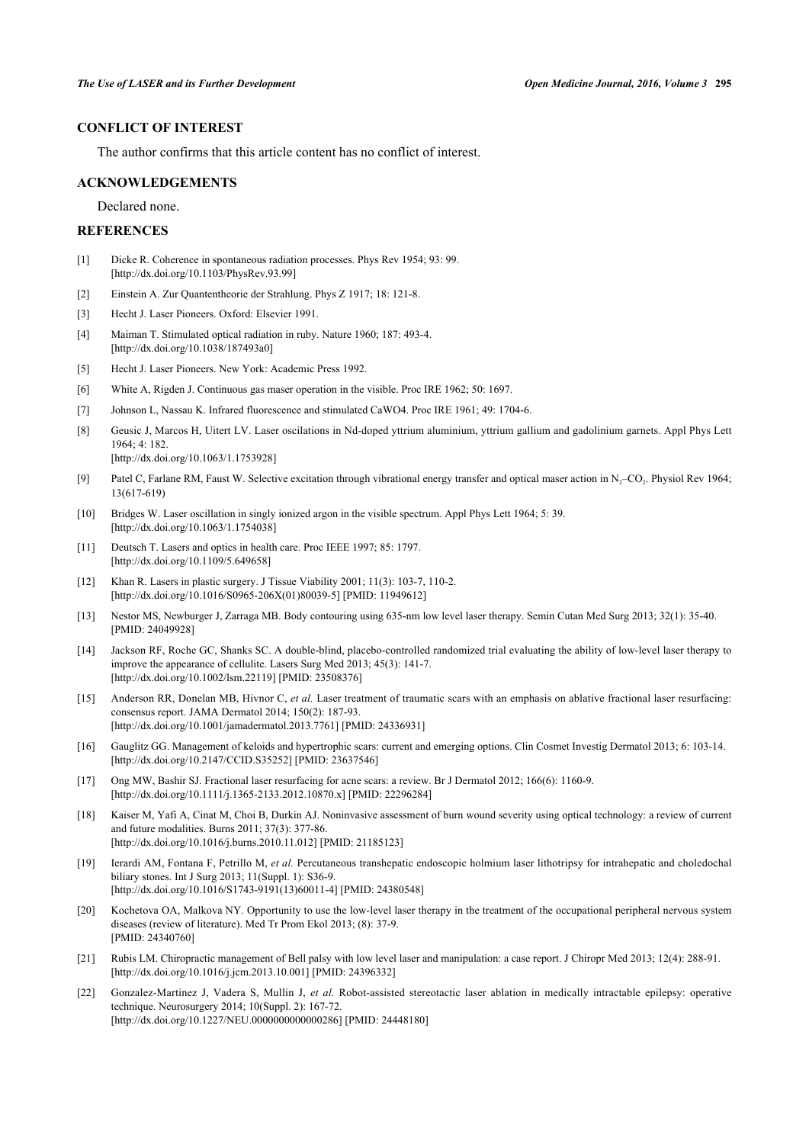# **CONFLICT OF INTEREST**

The author confirms that this article content has no conflict of interest.

#### **ACKNOWLEDGEMENTS**

Declared none.

## **REFERENCES**

- <span id="page-7-0"></span>[1] Dicke R. Coherence in spontaneous radiation processes. Phys Rev 1954; 93: 99. [\[http://dx.doi.org/10.1103/PhysRev.93.99](http://dx.doi.org/10.1103/PhysRev.93.99)]
- <span id="page-7-1"></span>[2] Einstein A. Zur Quantentheorie der Strahlung. Phys Z 1917; 18: 121-8.
- <span id="page-7-2"></span>[3] Hecht J. Laser Pioneers. Oxford: Elsevier 1991.
- <span id="page-7-3"></span>[4] Maiman T. Stimulated optical radiation in ruby. Nature 1960; 187: 493-4. [\[http://dx.doi.org/10.1038/187493a0](http://dx.doi.org/10.1038/187493a0)]
- <span id="page-7-4"></span>[5] Hecht J. Laser Pioneers. New York: Academic Press 1992.
- <span id="page-7-5"></span>[6] White A, Rigden J. Continuous gas maser operation in the visible. Proc IRE 1962; 50: 1697.
- <span id="page-7-6"></span>[7] Johnson L, Nassau K. Infrared fluorescence and stimulated CaWO4. Proc IRE 1961; 49: 1704-6.
- <span id="page-7-7"></span>[8] Geusic J, Marcos H, Uitert LV. Laser oscilations in Nd-doped yttrium aluminium, yttrium gallium and gadolinium garnets. Appl Phys Lett  $1964 \cdot 4 \cdot 182$ [\[http://dx.doi.org/10.1063/1.1753928\]](http://dx.doi.org/10.1063/1.1753928)
- <span id="page-7-8"></span>[9] Patel C, Farlane RM, Faust W. Selective excitation through vibrational energy transfer and optical maser action in N<sub>2</sub>–CO<sub>2</sub>. Physiol Rev 1964; 13(617-619)
- <span id="page-7-9"></span>[10] Bridges W. Laser oscillation in singly ionized argon in the visible spectrum. Appl Phys Lett 1964; 5: 39. [\[http://dx.doi.org/10.1063/1.1754038\]](http://dx.doi.org/10.1063/1.1754038)
- <span id="page-7-10"></span>[11] Deutsch T. Lasers and optics in health care. Proc IEEE 1997; 85: 1797. [\[http://dx.doi.org/10.1109/5.649658\]](http://dx.doi.org/10.1109/5.649658)
- <span id="page-7-11"></span>[12] Khan R. Lasers in plastic surgery. J Tissue Viability 2001; 11(3): 103-7, 110-2. [\[http://dx.doi.org/10.1016/S0965-206X\(01\)80039-5\]](http://dx.doi.org/10.1016/S0965-206X(01)80039-5) [PMID: [11949612](http://www.ncbi.nlm.nih.gov/pubmed/11949612)]
- [13] Nestor MS, Newburger J, Zarraga MB. Body contouring using 635-nm low level laser therapy. Semin Cutan Med Surg 2013; 32(1): 35-40. [PMID: [24049928\]](http://www.ncbi.nlm.nih.gov/pubmed/24049928)
- [14] Jackson RF, Roche GC, Shanks SC. A double-blind, placebo-controlled randomized trial evaluating the ability of low-level laser therapy to improve the appearance of cellulite. Lasers Surg Med 2013; 45(3): 141-7. [\[http://dx.doi.org/10.1002/lsm.22119](http://dx.doi.org/10.1002/lsm.22119)] [PMID: [23508376\]](http://www.ncbi.nlm.nih.gov/pubmed/23508376)
- [15] Anderson RR, Donelan MB, Hivnor C, *et al.* Laser treatment of traumatic scars with an emphasis on ablative fractional laser resurfacing: consensus report. JAMA Dermatol 2014; 150(2): 187-93. [\[http://dx.doi.org/10.1001/jamadermatol.2013.7761\]](http://dx.doi.org/10.1001/jamadermatol.2013.7761) [PMID: [24336931](http://www.ncbi.nlm.nih.gov/pubmed/24336931)]
- [16] Gauglitz GG. Management of keloids and hypertrophic scars: current and emerging options. Clin Cosmet Investig Dermatol 2013; 6: 103-14. [\[http://dx.doi.org/10.2147/CCID.S35252](http://dx.doi.org/10.2147/CCID.S35252)] [PMID: [23637546\]](http://www.ncbi.nlm.nih.gov/pubmed/23637546)
- [17] Ong MW, Bashir SJ. Fractional laser resurfacing for acne scars: a review. Br J Dermatol 2012; 166(6): 1160-9. [\[http://dx.doi.org/10.1111/j.1365-2133.2012.10870.x\]](http://dx.doi.org/10.1111/j.1365-2133.2012.10870.x) [PMID: [22296284](http://www.ncbi.nlm.nih.gov/pubmed/22296284)]
- [18] Kaiser M, Yafi A, Cinat M, Choi B, Durkin AJ. Noninvasive assessment of burn wound severity using optical technology: a review of current and future modalities. Burns 2011; 37(3): 377-86. [\[http://dx.doi.org/10.1016/j.burns.2010.11.012\]](http://dx.doi.org/10.1016/j.burns.2010.11.012) [PMID: [21185123](http://www.ncbi.nlm.nih.gov/pubmed/21185123)]
- [19] Ierardi AM, Fontana F, Petrillo M, *et al.* Percutaneous transhepatic endoscopic holmium laser lithotripsy for intrahepatic and choledochal biliary stones. Int J Surg 2013; 11(Suppl. 1): S36-9. [\[http://dx.doi.org/10.1016/S1743-9191\(13\)60011-4\]](http://dx.doi.org/10.1016/S1743-9191(13)60011-4) [PMID: [24380548](http://www.ncbi.nlm.nih.gov/pubmed/24380548)]
- [20] Kochetova OA, Malkova NY. Opportunity to use the low-level laser therapy in the treatment of the occupational peripheral nervous system diseases (review of literature). Med Tr Prom Ekol 2013; (8): 37-9. [PMID: [24340760\]](http://www.ncbi.nlm.nih.gov/pubmed/24340760)
- <span id="page-7-12"></span>[21] Rubis LM. Chiropractic management of Bell palsy with low level laser and manipulation: a case report. J Chiropr Med 2013; 12(4): 288-91. [\[http://dx.doi.org/10.1016/j.jcm.2013.10.001](http://dx.doi.org/10.1016/j.jcm.2013.10.001)] [PMID: [24396332\]](http://www.ncbi.nlm.nih.gov/pubmed/24396332)
- <span id="page-7-13"></span>[22] Gonzalez-Martinez J, Vadera S, Mullin J, *et al.* Robot-assisted stereotactic laser ablation in medically intractable epilepsy: operative technique. Neurosurgery 2014; 10(Suppl. 2): 167-72. [\[http://dx.doi.org/10.1227/NEU.0000000000000286](http://dx.doi.org/10.1227/NEU.0000000000000286)] [PMID: [24448180\]](http://www.ncbi.nlm.nih.gov/pubmed/24448180)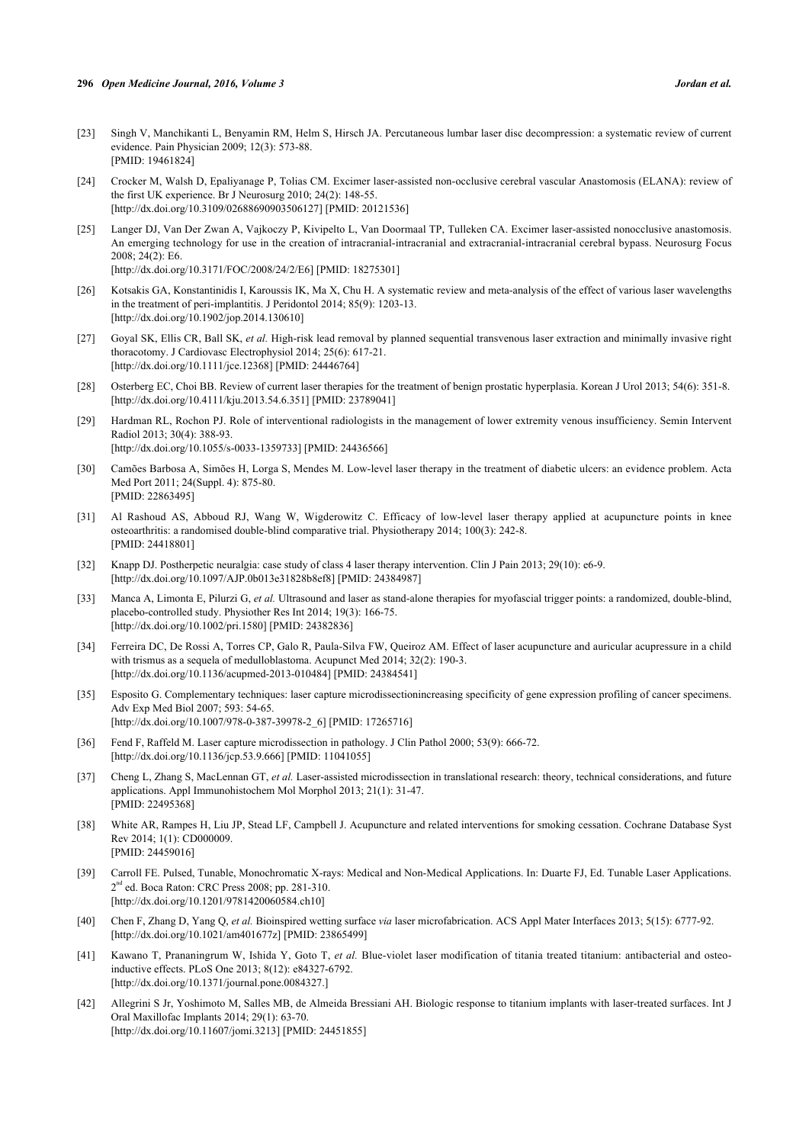- <span id="page-8-0"></span>[23] Singh V, Manchikanti L, Benyamin RM, Helm S, Hirsch JA. Percutaneous lumbar laser disc decompression: a systematic review of current evidence. Pain Physician 2009; 12(3): 573-88. [PMID: [19461824\]](http://www.ncbi.nlm.nih.gov/pubmed/19461824)
- [24] Crocker M, Walsh D, Epaliyanage P, Tolias CM. Excimer laser-assisted non-occlusive cerebral vascular Anastomosis (ELANA): review of the first UK experience. Br J Neurosurg 2010; 24(2): 148-55. [\[http://dx.doi.org/10.3109/02688690903506127\]](http://dx.doi.org/10.3109/02688690903506127) [PMID: [20121536](http://www.ncbi.nlm.nih.gov/pubmed/20121536)]
- [25] Langer DJ, Van Der Zwan A, Vajkoczy P, Kivipelto L, Van Doormaal TP, Tulleken CA. Excimer laser-assisted nonocclusive anastomosis. An emerging technology for use in the creation of intracranial-intracranial and extracranial-intracranial cerebral bypass. Neurosurg Focus 2008; 24(2): E6. [\[http://dx.doi.org/10.3171/FOC/2008/24/2/E6](http://dx.doi.org/10.3171/FOC/2008/24/2/E6)] [PMID: [18275301\]](http://www.ncbi.nlm.nih.gov/pubmed/18275301)
- <span id="page-8-1"></span>[26] Kotsakis GA, Konstantinidis I, Karoussis IK, Ma X, Chu H. A systematic review and meta-analysis of the effect of various laser wavelengths in the treatment of peri-implantitis. J Peridontol 2014; 85(9): 1203-13. [\[http://dx.doi.org/10.1902/jop.2014.130610](http://dx.doi.org/10.1902/jop.2014.130610)]
- <span id="page-8-2"></span>[27] Goyal SK, Ellis CR, Ball SK, *et al.* High-risk lead removal by planned sequential transvenous laser extraction and minimally invasive right thoracotomy. J Cardiovasc Electrophysiol 2014; 25(6): 617-21. [\[http://dx.doi.org/10.1111/jce.12368](http://dx.doi.org/10.1111/jce.12368)] [PMID: [24446764\]](http://www.ncbi.nlm.nih.gov/pubmed/24446764)
- <span id="page-8-3"></span>[28] Osterberg EC, Choi BB. Review of current laser therapies for the treatment of benign prostatic hyperplasia. Korean J Urol 2013; 54(6): 351-8. [\[http://dx.doi.org/10.4111/kju.2013.54.6.351](http://dx.doi.org/10.4111/kju.2013.54.6.351)] [PMID: [23789041\]](http://www.ncbi.nlm.nih.gov/pubmed/23789041)
- <span id="page-8-4"></span>[29] Hardman RL, Rochon PJ. Role of interventional radiologists in the management of lower extremity venous insufficiency. Semin Intervent Radiol 2013; 30(4): 388-93. [\[http://dx.doi.org/10.1055/s-0033-1359733](http://dx.doi.org/10.1055/s-0033-1359733)] [PMID: [24436566\]](http://www.ncbi.nlm.nih.gov/pubmed/24436566)
- <span id="page-8-5"></span>[30] Camões Barbosa A, Simões H, Lorga S, Mendes M. Low-level laser therapy in the treatment of diabetic ulcers: an evidence problem. Acta Med Port 2011; 24(Suppl. 4): 875-80. [PMID: [22863495\]](http://www.ncbi.nlm.nih.gov/pubmed/22863495)
- <span id="page-8-6"></span>[31] Al Rashoud AS, Abboud RJ, Wang W, Wigderowitz C. Efficacy of low-level laser therapy applied at acupuncture points in knee osteoarthritis: a randomised double-blind comparative trial. Physiotherapy 2014; 100(3): 242-8. [PMID: [24418801\]](http://www.ncbi.nlm.nih.gov/pubmed/24418801)
- <span id="page-8-7"></span>[32] Knapp DJ. Postherpetic neuralgia: case study of class 4 laser therapy intervention. Clin J Pain 2013; 29(10): e6-9. [\[http://dx.doi.org/10.1097/AJP.0b013e31828b8ef8\]](http://dx.doi.org/10.1097/AJP.0b013e31828b8ef8) [PMID: [24384987](http://www.ncbi.nlm.nih.gov/pubmed/24384987)]
- <span id="page-8-8"></span>[33] Manca A, Limonta E, Pilurzi G, *et al.* Ultrasound and laser as stand-alone therapies for myofascial trigger points: a randomized, double-blind, placebo-controlled study. Physiother Res Int 2014; 19(3): 166-75. [\[http://dx.doi.org/10.1002/pri.1580\]](http://dx.doi.org/10.1002/pri.1580) [PMID: [24382836](http://www.ncbi.nlm.nih.gov/pubmed/24382836)]
- <span id="page-8-9"></span>[34] Ferreira DC, De Rossi A, Torres CP, Galo R, Paula-Silva FW, Queiroz AM. Effect of laser acupuncture and auricular acupressure in a child with trismus as a sequela of medulloblastoma. Acupunct Med 2014; 32(2): 190-3. [\[http://dx.doi.org/10.1136/acupmed-2013-010484](http://dx.doi.org/10.1136/acupmed-2013-010484)] [PMID: [24384541\]](http://www.ncbi.nlm.nih.gov/pubmed/24384541)
- <span id="page-8-10"></span>[35] Esposito G. Complementary techniques: laser capture microdissectionincreasing specificity of gene expression profiling of cancer specimens. Adv Exp Med Biol 2007; 593: 54-65. [\[http://dx.doi.org/10.1007/978-0-387-39978-2\\_6](http://dx.doi.org/10.1007/978-0-387-39978-2_6)] [PMID: [17265716](http://www.ncbi.nlm.nih.gov/pubmed/17265716)]
- [36] Fend F, Raffeld M. Laser capture microdissection in pathology. J Clin Pathol 2000; 53(9): 666-72. [\[http://dx.doi.org/10.1136/jcp.53.9.666\]](http://dx.doi.org/10.1136/jcp.53.9.666) [PMID: [11041055](http://www.ncbi.nlm.nih.gov/pubmed/11041055)]
- <span id="page-8-11"></span>[37] Cheng L, Zhang S, MacLennan GT, *et al.* Laser-assisted microdissection in translational research: theory, technical considerations, and future applications. Appl Immunohistochem Mol Morphol 2013; 21(1): 31-47. [PMID: [22495368\]](http://www.ncbi.nlm.nih.gov/pubmed/22495368)
- <span id="page-8-12"></span>[38] White AR, Rampes H, Liu JP, Stead LF, Campbell J. Acupuncture and related interventions for smoking cessation. Cochrane Database Syst Rev 2014; 1(1): CD000009. [PMID: [24459016\]](http://www.ncbi.nlm.nih.gov/pubmed/24459016)
- <span id="page-8-13"></span>[39] Carroll FE. Pulsed, Tunable, Monochromatic X-rays: Medical and Non-Medical Applications. In: Duarte FJ, Ed. Tunable Laser Applications. 2<sup>nd</sup> ed. Boca Raton: CRC Press 2008; pp. 281-310. [\[http://dx.doi.org/10.1201/9781420060584.ch10](http://dx.doi.org/10.1201/9781420060584.ch10)]
- <span id="page-8-14"></span>[40] Chen F, Zhang D, Yang Q, *et al.* Bioinspired wetting surface *via* laser microfabrication. ACS Appl Mater Interfaces 2013; 5(15): 6777-92. [\[http://dx.doi.org/10.1021/am401677z](http://dx.doi.org/10.1021/am401677z)] [PMID: [23865499\]](http://www.ncbi.nlm.nih.gov/pubmed/23865499)
- [41] Kawano T, Prananingrum W, Ishida Y, Goto T, *et al.* Blue-violet laser modification of titania treated titanium: antibacterial and osteoinductive effects. PLoS One 2013; 8(12): e84327-6792. [\[http://dx.doi.org/10.1371/journal.pone.0084327.](http://dx.doi.org/10.1371/journal.pone.0084327.)]
- <span id="page-8-15"></span>[42] Allegrini S Jr, Yoshimoto M, Salles MB, de Almeida Bressiani AH. Biologic response to titanium implants with laser-treated surfaces. Int J Oral Maxillofac Implants 2014; 29(1): 63-70. [\[http://dx.doi.org/10.11607/jomi.3213](http://dx.doi.org/10.11607/jomi.3213)] [PMID: [24451855](http://www.ncbi.nlm.nih.gov/pubmed/24451855)]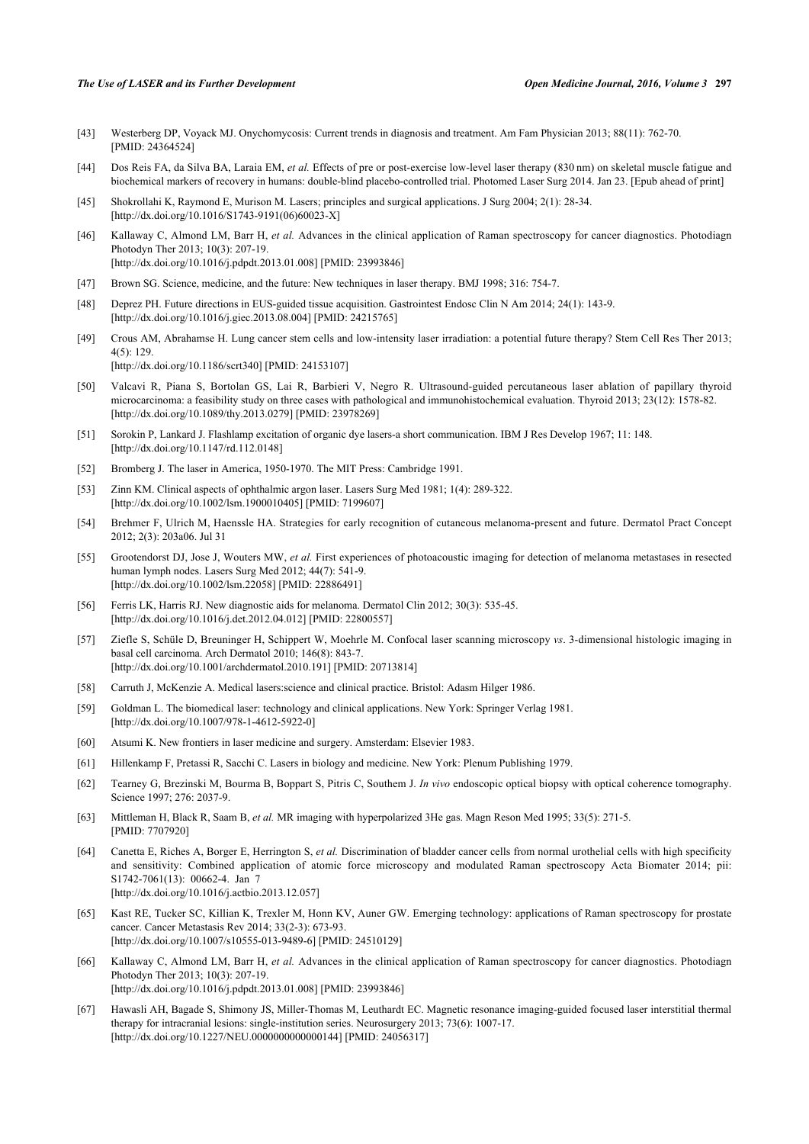#### *The Use of LASER and its Further Development Open Medicine Journal, 2016, Volume 3* **297**

- <span id="page-9-3"></span>[43] Westerberg DP, Voyack MJ. Onychomycosis: Current trends in diagnosis and treatment. Am Fam Physician 2013; 88(11): 762-70. [PMID: [24364524\]](http://www.ncbi.nlm.nih.gov/pubmed/24364524)
- <span id="page-9-4"></span>[44] Dos Reis FA, da Silva BA, Laraia EM, *et al.* Effects of pre or post-exercise low-level laser therapy (830 nm) on skeletal muscle fatigue and biochemical markers of recovery in humans: double-blind placebo-controlled trial. Photomed Laser Surg 2014. Jan 23. [Epub ahead of print]
- <span id="page-9-0"></span>[45] Shokrollahi K, Raymond E, Murison M. Lasers; principles and surgical applications. J Surg 2004; 2(1): 28-34. [\[http://dx.doi.org/10.1016/S1743-9191\(06\)60023-X\]](http://dx.doi.org/10.1016/S1743-9191(06)60023-X)
- <span id="page-9-1"></span>[46] Kallaway C, Almond LM, Barr H, *et al.* Advances in the clinical application of Raman spectroscopy for cancer diagnostics. Photodiagn Photodyn Ther 2013; 10(3): 207-19. [\[http://dx.doi.org/10.1016/j.pdpdt.2013.01.008](http://dx.doi.org/10.1016/j.pdpdt.2013.01.008)] [PMID: [23993846\]](http://www.ncbi.nlm.nih.gov/pubmed/23993846)
- <span id="page-9-17"></span>[47] Brown SG. Science, medicine, and the future: New techniques in laser therapy. BMJ 1998; 316: 754-7.
- [48] Deprez PH. Future directions in EUS-guided tissue acquisition. Gastrointest Endosc Clin N Am 2014; 24(1): 143-9. [\[http://dx.doi.org/10.1016/j.giec.2013.08.004](http://dx.doi.org/10.1016/j.giec.2013.08.004)] [PMID: [24215765\]](http://www.ncbi.nlm.nih.gov/pubmed/24215765)
- <span id="page-9-2"></span>[49] Crous AM, Abrahamse H. Lung cancer stem cells and low-intensity laser irradiation: a potential future therapy? Stem Cell Res Ther 2013;  $4(5)$ : 129 [\[http://dx.doi.org/10.1186/scrt340](http://dx.doi.org/10.1186/scrt340)] [PMID: [24153107\]](http://www.ncbi.nlm.nih.gov/pubmed/24153107)
- <span id="page-9-5"></span>[50] Valcavi R, Piana S, Bortolan GS, Lai R, Barbieri V, Negro R. Ultrasound-guided percutaneous laser ablation of papillary thyroid microcarcinoma: a feasibility study on three cases with pathological and immunohistochemical evaluation. Thyroid 2013; 23(12): 1578-82. [\[http://dx.doi.org/10.1089/thy.2013.0279](http://dx.doi.org/10.1089/thy.2013.0279)] [PMID: [23978269\]](http://www.ncbi.nlm.nih.gov/pubmed/23978269)
- <span id="page-9-6"></span>[51] Sorokin P, Lankard J. Flashlamp excitation of organic dye lasers-a short communication. IBM J Res Develop 1967; 11: 148. [\[http://dx.doi.org/10.1147/rd.112.0148](http://dx.doi.org/10.1147/rd.112.0148)]
- <span id="page-9-7"></span>[52] Bromberg J. The laser in America, 1950-1970. The MIT Press: Cambridge 1991.
- <span id="page-9-8"></span>[53] Zinn KM. Clinical aspects of ophthalmic argon laser. Lasers Surg Med 1981; 1(4): 289-322. [\[http://dx.doi.org/10.1002/lsm.1900010405](http://dx.doi.org/10.1002/lsm.1900010405)] [PMID: [7199607\]](http://www.ncbi.nlm.nih.gov/pubmed/7199607)
- <span id="page-9-9"></span>[54] Brehmer F, Ulrich M, Haenssle HA. Strategies for early recognition of cutaneous melanoma-present and future. Dermatol Pract Concept 2012; 2(3): 203a06. Jul 31
- [55] Grootendorst DJ, Jose J, Wouters MW, *et al.* First experiences of photoacoustic imaging for detection of melanoma metastases in resected human lymph nodes. Lasers Surg Med 2012; 44(7): 541-9. [\[http://dx.doi.org/10.1002/lsm.22058](http://dx.doi.org/10.1002/lsm.22058)] [PMID: [22886491\]](http://www.ncbi.nlm.nih.gov/pubmed/22886491)
- [56] Ferris LK, Harris RJ. New diagnostic aids for melanoma. Dermatol Clin 2012; 30(3): 535-45. [\[http://dx.doi.org/10.1016/j.det.2012.04.012\]](http://dx.doi.org/10.1016/j.det.2012.04.012) [PMID: [22800557](http://www.ncbi.nlm.nih.gov/pubmed/22800557)]
- <span id="page-9-10"></span>[57] Ziefle S, Schüle D, Breuninger H, Schippert W, Moehrle M. Confocal laser scanning microscopy *vs*. 3-dimensional histologic imaging in basal cell carcinoma. Arch Dermatol 2010; 146(8): 843-7. [\[http://dx.doi.org/10.1001/archdermatol.2010.191](http://dx.doi.org/10.1001/archdermatol.2010.191)] [PMID: [20713814\]](http://www.ncbi.nlm.nih.gov/pubmed/20713814)
- <span id="page-9-11"></span>[58] Carruth J, McKenzie A. Medical lasers:science and clinical practice. Bristol: Adasm Hilger 1986.
- [59] Goldman L. The biomedical laser: technology and clinical applications. New York: Springer Verlag 1981. [\[http://dx.doi.org/10.1007/978-1-4612-5922-0](http://dx.doi.org/10.1007/978-1-4612-5922-0)]
- [60] Atsumi K. New frontiers in laser medicine and surgery. Amsterdam: Elsevier 1983.
- <span id="page-9-12"></span>[61] Hillenkamp F, Pretassi R, Sacchi C. Lasers in biology and medicine. New York: Plenum Publishing 1979.
- <span id="page-9-13"></span>[62] Tearney G, Brezinski M, Bourma B, Boppart S, Pitris C, Southem J. *In vivo* endoscopic optical biopsy with optical coherence tomography. Science 1997; 276: 2037-9.
- <span id="page-9-14"></span>[63] Mittleman H, Black R, Saam B, *et al.* MR imaging with hyperpolarized 3He gas. Magn Reson Med 1995; 33(5): 271-5. [PMID: [7707920\]](http://www.ncbi.nlm.nih.gov/pubmed/7707920)
- <span id="page-9-15"></span>[64] Canetta E, Riches A, Borger E, Herrington S, *et al.* Discrimination of bladder cancer cells from normal urothelial cells with high specificity and sensitivity: Combined application of atomic force microscopy and modulated Raman spectroscopy Acta Biomater 2014; pii: S1742-7061(13): 00662-4. Jan 7 [\[http://dx.doi.org/10.1016/j.actbio.2013.12.057\]](http://dx.doi.org/10.1016/j.actbio.2013.12.057)
- [65] Kast RE, Tucker SC, Killian K, Trexler M, Honn KV, Auner GW. Emerging technology: applications of Raman spectroscopy for prostate cancer. Cancer Metastasis Rev 2014; 33(2-3): 673-93. [\[http://dx.doi.org/10.1007/s10555-013-9489-6\]](http://dx.doi.org/10.1007/s10555-013-9489-6) [PMID: [24510129](http://www.ncbi.nlm.nih.gov/pubmed/24510129)]
- <span id="page-9-16"></span>[66] Kallaway C, Almond LM, Barr H, *et al.* Advances in the clinical application of Raman spectroscopy for cancer diagnostics. Photodiagn Photodyn Ther 2013; 10(3): 207-19. [\[http://dx.doi.org/10.1016/j.pdpdt.2013.01.008](http://dx.doi.org/10.1016/j.pdpdt.2013.01.008)] [PMID: [23993846\]](http://www.ncbi.nlm.nih.gov/pubmed/23993846)
- <span id="page-9-18"></span>[67] Hawasli AH, Bagade S, Shimony JS, Miller-Thomas M, Leuthardt EC. Magnetic resonance imaging-guided focused laser interstitial thermal therapy for intracranial lesions: single-institution series. Neurosurgery 2013; 73(6): 1007-17. [\[http://dx.doi.org/10.1227/NEU.0000000000000144](http://dx.doi.org/10.1227/NEU.0000000000000144)] [PMID: [24056317\]](http://www.ncbi.nlm.nih.gov/pubmed/24056317)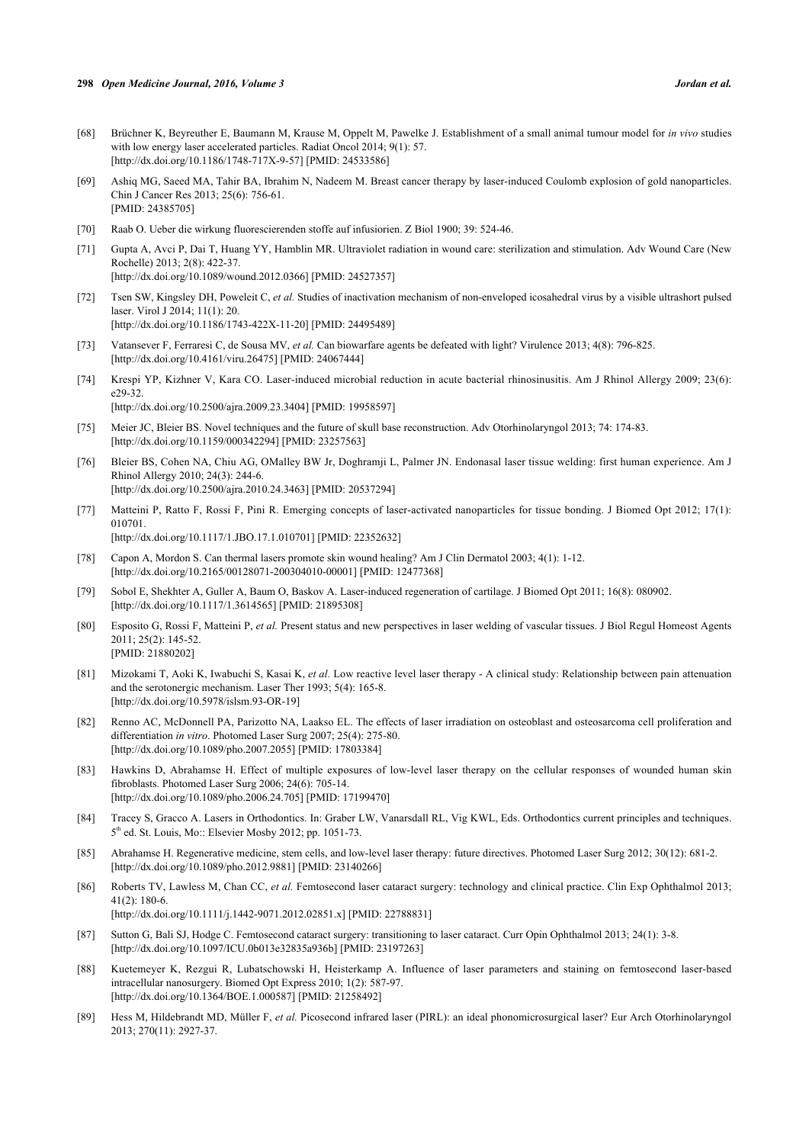- [68] Brüchner K, Beyreuther E, Baumann M, Krause M, Oppelt M, Pawelke J. Establishment of a small animal tumour model for *in vivo* studies with low energy laser accelerated particles. Radiat Oncol 2014; 9(1): 57. [\[http://dx.doi.org/10.1186/1748-717X-9-57\]](http://dx.doi.org/10.1186/1748-717X-9-57) [PMID: [24533586](http://www.ncbi.nlm.nih.gov/pubmed/24533586)]
- <span id="page-10-0"></span>[69] Ashiq MG, Saeed MA, Tahir BA, Ibrahim N, Nadeem M. Breast cancer therapy by laser-induced Coulomb explosion of gold nanoparticles. Chin J Cancer Res 2013; 25(6): 756-61. [PMID: [24385705\]](http://www.ncbi.nlm.nih.gov/pubmed/24385705)
- <span id="page-10-1"></span>[70] Raab O. Ueber die wirkung fluorescierenden stoffe auf infusiorien. Z Biol 1900; 39: 524-46.
- [71] Gupta A, Avci P, Dai T, Huang YY, Hamblin MR. Ultraviolet radiation in wound care: sterilization and stimulation. Adv Wound Care (New Rochelle) 2013; 2(8): 422-37. [\[http://dx.doi.org/10.1089/wound.2012.0366\]](http://dx.doi.org/10.1089/wound.2012.0366) [PMID: [24527357](http://www.ncbi.nlm.nih.gov/pubmed/24527357)]
- [72] Tsen SW, Kingsley DH, Poweleit C, *et al.* Studies of inactivation mechanism of non-enveloped icosahedral virus by a visible ultrashort pulsed laser. Virol J 2014; 11(1): 20. [\[http://dx.doi.org/10.1186/1743-422X-11-20\]](http://dx.doi.org/10.1186/1743-422X-11-20) [PMID: [24495489](http://www.ncbi.nlm.nih.gov/pubmed/24495489)]
- [73] Vatansever F, Ferraresi C, de Sousa MV, *et al.* Can biowarfare agents be defeated with light? Virulence 2013; 4(8): 796-825. [\[http://dx.doi.org/10.4161/viru.26475\]](http://dx.doi.org/10.4161/viru.26475) [PMID: [24067444](http://www.ncbi.nlm.nih.gov/pubmed/24067444)]
- <span id="page-10-2"></span>[74] Krespi YP, Kizhner V, Kara CO. Laser-induced microbial reduction in acute bacterial rhinosinusitis. Am J Rhinol Allergy 2009; 23(6): e29-32. [\[http://dx.doi.org/10.2500/ajra.2009.23.3404\]](http://dx.doi.org/10.2500/ajra.2009.23.3404) [PMID: [19958597](http://www.ncbi.nlm.nih.gov/pubmed/19958597)]
- <span id="page-10-3"></span>[75] Meier JC, Bleier BS. Novel techniques and the future of skull base reconstruction. Adv Otorhinolaryngol 2013; 74: 174-83. [\[http://dx.doi.org/10.1159/000342294\]](http://dx.doi.org/10.1159/000342294) [PMID: [23257563](http://www.ncbi.nlm.nih.gov/pubmed/23257563)]
- [76] Bleier BS, Cohen NA, Chiu AG, OMalley BW Jr, Doghramji L, Palmer JN. Endonasal laser tissue welding: first human experience. Am J Rhinol Allergy 2010; 24(3): 244-6. [\[http://dx.doi.org/10.2500/ajra.2010.24.3463\]](http://dx.doi.org/10.2500/ajra.2010.24.3463) [PMID: [20537294](http://www.ncbi.nlm.nih.gov/pubmed/20537294)]
- [77] Matteini P, Ratto F, Rossi F, Pini R. Emerging concepts of laser-activated nanoparticles for tissue bonding. J Biomed Opt 2012; 17(1): 010701. [\[http://dx.doi.org/10.1117/1.JBO.17.1.010701](http://dx.doi.org/10.1117/1.JBO.17.1.010701)] [PMID: [22352632\]](http://www.ncbi.nlm.nih.gov/pubmed/22352632)
- [78] Capon A, Mordon S. Can thermal lasers promote skin wound healing? Am J Clin Dermatol 2003; 4(1): 1-12. [\[http://dx.doi.org/10.2165/00128071-200304010-00001](http://dx.doi.org/10.2165/00128071-200304010-00001)] [PMID: [12477368\]](http://www.ncbi.nlm.nih.gov/pubmed/12477368)
- [79] Sobol E, Shekhter A, Guller A, Baum O, Baskov A. Laser-induced regeneration of cartilage. J Biomed Opt 2011; 16(8): 080902. [\[http://dx.doi.org/10.1117/1.3614565\]](http://dx.doi.org/10.1117/1.3614565) [PMID: [21895308](http://www.ncbi.nlm.nih.gov/pubmed/21895308)]
- <span id="page-10-4"></span>[80] Esposito G, Rossi F, Matteini P, *et al.* Present status and new perspectives in laser welding of vascular tissues. J Biol Regul Homeost Agents 2011; 25(2): 145-52. [PMID: [21880202\]](http://www.ncbi.nlm.nih.gov/pubmed/21880202)
- <span id="page-10-5"></span>[81] Mizokami T, Aoki K, Iwabuchi S, Kasai K, *et al.* Low reactive level laser therapy - A clinical study: Relationship between pain attenuation and the serotonergic mechanism. Laser Ther 1993; 5(4): 165-8. [\[http://dx.doi.org/10.5978/islsm.93-OR-19](http://dx.doi.org/10.5978/islsm.93-OR-19)]
- <span id="page-10-7"></span>[82] Renno AC, McDonnell PA, Parizotto NA, Laakso EL. The effects of laser irradiation on osteoblast and osteosarcoma cell proliferation and differentiation *in vitro*. Photomed Laser Surg 2007; 25(4): 275-80. [\[http://dx.doi.org/10.1089/pho.2007.2055\]](http://dx.doi.org/10.1089/pho.2007.2055) [PMID: [17803384](http://www.ncbi.nlm.nih.gov/pubmed/17803384)]
- <span id="page-10-8"></span>[83] Hawkins D, Abrahamse H. Effect of multiple exposures of low-level laser therapy on the cellular responses of wounded human skin fibroblasts. Photomed Laser Surg 2006; 24(6): 705-14. [\[http://dx.doi.org/10.1089/pho.2006.24.705\]](http://dx.doi.org/10.1089/pho.2006.24.705) [PMID: [17199470](http://www.ncbi.nlm.nih.gov/pubmed/17199470)]
- <span id="page-10-9"></span>[84] Tracey S, Gracco A. Lasers in Orthodontics. In: Graber LW, Vanarsdall RL, Vig KWL, Eds. Orthodontics current principles and techniques. 5<sup>th</sup> ed. St. Louis, Mo:: Elsevier Mosby 2012; pp. 1051-73.
- <span id="page-10-6"></span>[85] Abrahamse H. Regenerative medicine, stem cells, and low-level laser therapy: future directives. Photomed Laser Surg 2012; 30(12): 681-2. [\[http://dx.doi.org/10.1089/pho.2012.9881\]](http://dx.doi.org/10.1089/pho.2012.9881) [PMID: [23140266](http://www.ncbi.nlm.nih.gov/pubmed/23140266)]
- [86] Roberts TV, Lawless M, Chan CC, *et al.* Femtosecond laser cataract surgery: technology and clinical practice. Clin Exp Ophthalmol 2013; 41(2): 180-6.
	- [\[http://dx.doi.org/10.1111/j.1442-9071.2012.02851.x\]](http://dx.doi.org/10.1111/j.1442-9071.2012.02851.x) [PMID: [22788831](http://www.ncbi.nlm.nih.gov/pubmed/22788831)]
- [87] Sutton G, Bali SJ, Hodge C. Femtosecond cataract surgery: transitioning to laser cataract. Curr Opin Ophthalmol 2013; 24(1): 3-8. [\[http://dx.doi.org/10.1097/ICU.0b013e32835a936b\]](http://dx.doi.org/10.1097/ICU.0b013e32835a936b) [PMID: [23197263](http://www.ncbi.nlm.nih.gov/pubmed/23197263)]
- <span id="page-10-10"></span>[88] Kuetemeyer K, Rezgui R, Lubatschowski H, Heisterkamp A. Influence of laser parameters and staining on femtosecond laser-based intracellular nanosurgery. Biomed Opt Express 2010; 1(2): 587-97. [\[http://dx.doi.org/10.1364/BOE.1.000587\]](http://dx.doi.org/10.1364/BOE.1.000587) [PMID: [21258492](http://www.ncbi.nlm.nih.gov/pubmed/21258492)]
- <span id="page-10-11"></span>[89] Hess M, Hildebrandt MD, Müller F, *et al.* Picosecond infrared laser (PIRL): an ideal phonomicrosurgical laser? Eur Arch Otorhinolaryngol 2013; 270(11): 2927-37.